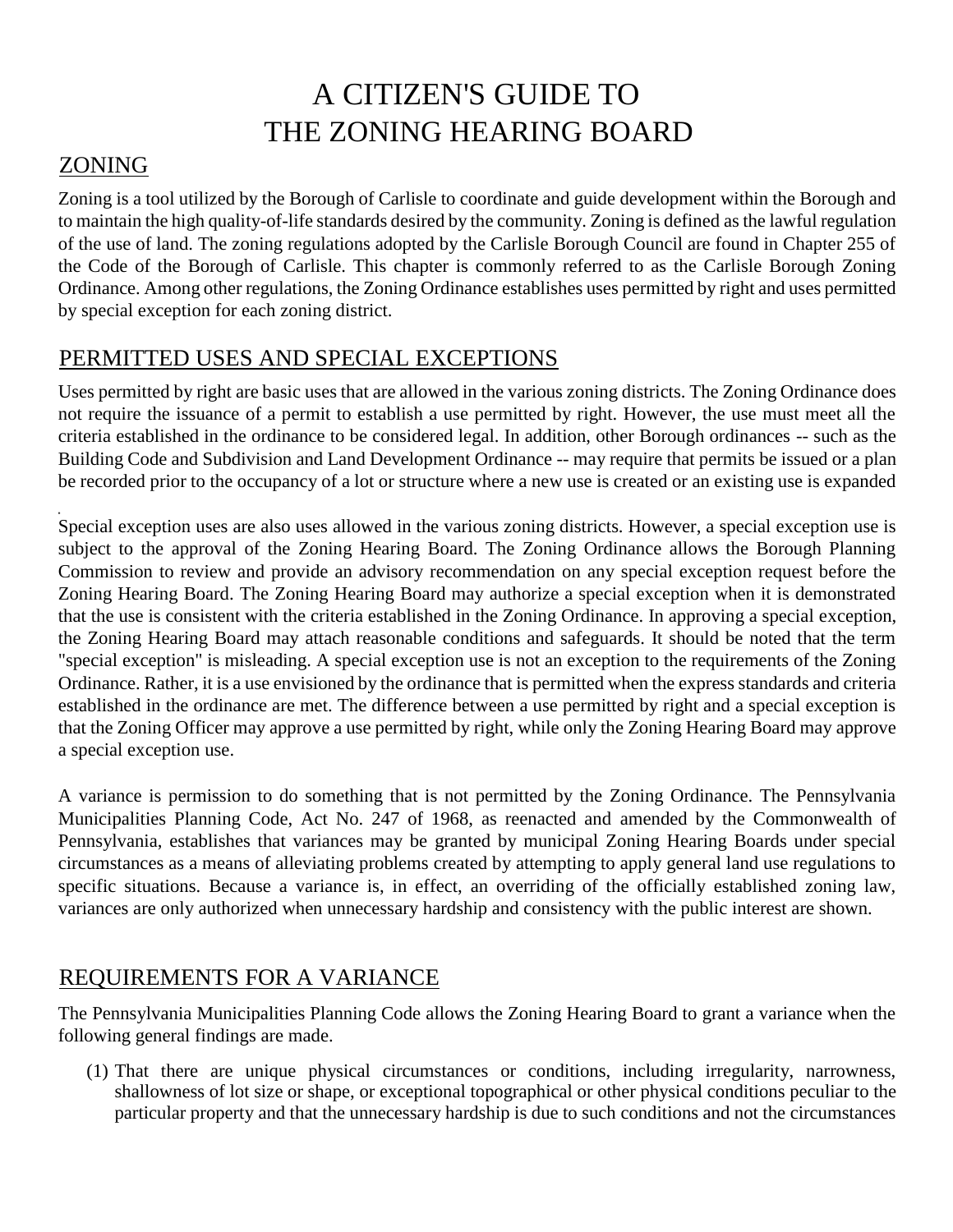## A CITIZEN'S GUIDE TO THE ZONING HEARING BOARD

#### ZONING

Zoning is a tool utilized by the Borough of Carlisle to coordinate and guide development within the Borough and to maintain the high quality-of-life standards desired by the community. Zoning is defined as the lawful regulation of the use of land. The zoning regulations adopted by the Carlisle Borough Council are found in Chapter 255 of the Code of the Borough of Carlisle. This chapter is commonly referred to as the Carlisle Borough Zoning Ordinance. Among other regulations, the Zoning Ordinance establishes uses permitted by right and uses permitted by special exception for each zoning district.

#### PERMITTED USES AND SPECIAL EXCEPTIONS

Uses permitted by right are basic uses that are allowed in the various zoning districts. The Zoning Ordinance does not require the issuance of a permit to establish a use permitted by right. However, the use must meet all the criteria established in the ordinance to be considered legal. In addition, other Borough ordinances -- such as the Building Code and Subdivision and Land Development Ordinance -- may require that permits be issued or a plan be recorded prior to the occupancy of a lot or structure where a new use is created or an existing use is expanded

Special exception uses are also uses allowed in the various zoning districts. However, a special exception use is subject to the approval of the Zoning Hearing Board. The Zoning Ordinance allows the Borough Planning Commission to review and provide an advisory recommendation on any special exception request before the Zoning Hearing Board. The Zoning Hearing Board may authorize a special exception when it is demonstrated that the use is consistent with the criteria established in the Zoning Ordinance. In approving a special exception, the Zoning Hearing Board may attach reasonable conditions and safeguards. It should be noted that the term "special exception" is misleading. A special exception use is not an exception to the requirements of the Zoning Ordinance. Rather, it is a use envisioned by the ordinance that is permitted when the express standards and criteria established in the ordinance are met. The difference between a use permitted by right and a special exception is that the Zoning Officer may approve a use permitted by right, while only the Zoning Hearing Board may approve a special exception use.

A variance is permission to do something that is not permitted by the Zoning Ordinance. The Pennsylvania Municipalities Planning Code, Act No. 247 of 1968, as reenacted and amended by the Commonwealth of Pennsylvania, establishes that variances may be granted by municipal Zoning Hearing Boards under special circumstances as a means of alleviating problems created by attempting to apply general land use regulations to specific situations. Because a variance is, in effect, an overriding of the officially established zoning law, variances are only authorized when unnecessary hardship and consistency with the public interest are shown.

#### REQUIREMENTS FOR A VARIANCE

The Pennsylvania Municipalities Planning Code allows the Zoning Hearing Board to grant a variance when the following general findings are made.

(1) That there are unique physical circumstances or conditions, including irregularity, narrowness, shallowness of lot size or shape, or exceptional topographical or other physical conditions peculiar to the particular property and that the unnecessary hardship is due to such conditions and not the circumstances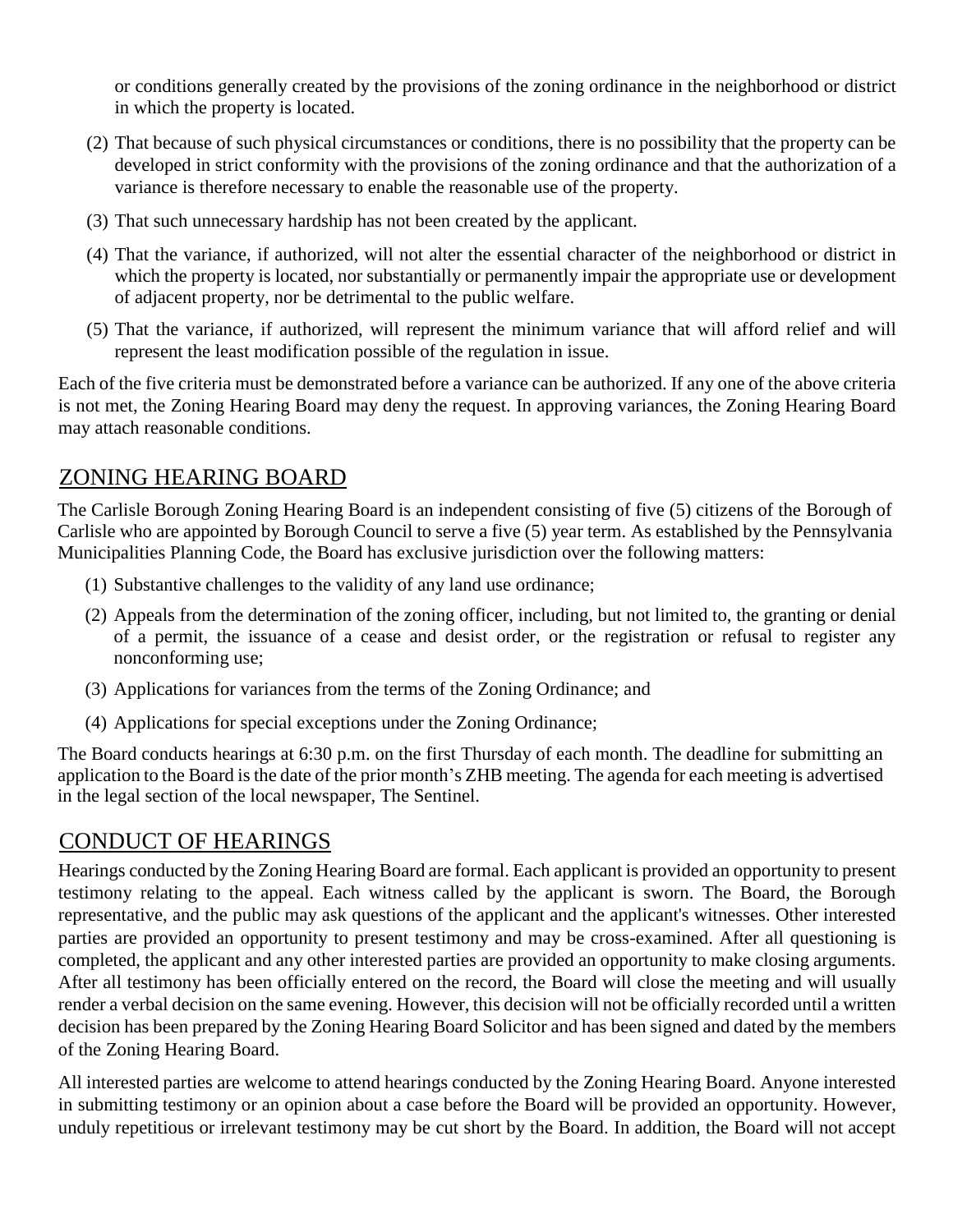or conditions generally created by the provisions of the zoning ordinance in the neighborhood or district in which the property is located.

- (2) That because of such physical circumstances or conditions, there is no possibility that the property can be developed in strict conformity with the provisions of the zoning ordinance and that the authorization of a variance is therefore necessary to enable the reasonable use of the property.
- (3) That such unnecessary hardship has not been created by the applicant.
- (4) That the variance, if authorized, will not alter the essential character of the neighborhood or district in which the property is located, nor substantially or permanently impair the appropriate use or development of adjacent property, nor be detrimental to the public welfare.
- (5) That the variance, if authorized, will represent the minimum variance that will afford relief and will represent the least modification possible of the regulation in issue.

Each of the five criteria must be demonstrated before a variance can be authorized. If any one of the above criteria is not met, the Zoning Hearing Board may deny the request. In approving variances, the Zoning Hearing Board may attach reasonable conditions.

#### ZONING HEARING BOARD

The Carlisle Borough Zoning Hearing Board is an independent consisting of five (5) citizens of the Borough of Carlisle who are appointed by Borough Council to serve a five (5) year term. As established by the Pennsylvania Municipalities Planning Code, the Board has exclusive jurisdiction over the following matters:

- (1) Substantive challenges to the validity of any land use ordinance;
- (2) Appeals from the determination of the zoning officer, including, but not limited to, the granting or denial of a permit, the issuance of a cease and desist order, or the registration or refusal to register any nonconforming use;
- (3) Applications for variances from the terms of the Zoning Ordinance; and
- (4) Applications for special exceptions under the Zoning Ordinance;

The Board conducts hearings at 6:30 p.m. on the first Thursday of each month. The deadline for submitting an application to the Board is the date of the prior month's ZHB meeting. The agenda for each meeting is advertised in the legal section of the local newspaper, The Sentinel.

#### CONDUCT OF HEARINGS

Hearings conducted by the Zoning Hearing Board are formal. Each applicant is provided an opportunity to present testimony relating to the appeal. Each witness called by the applicant is sworn. The Board, the Borough representative, and the public may ask questions of the applicant and the applicant's witnesses. Other interested parties are provided an opportunity to present testimony and may be cross-examined. After all questioning is completed, the applicant and any other interested parties are provided an opportunity to make closing arguments. After all testimony has been officially entered on the record, the Board will close the meeting and will usually render a verbal decision on the same evening. However, this decision will not be officially recorded until a written decision has been prepared by the Zoning Hearing Board Solicitor and has been signed and dated by the members of the Zoning Hearing Board.

All interested parties are welcome to attend hearings conducted by the Zoning Hearing Board. Anyone interested in submitting testimony or an opinion about a case before the Board will be provided an opportunity. However, unduly repetitious or irrelevant testimony may be cut short by the Board. In addition, the Board will not accept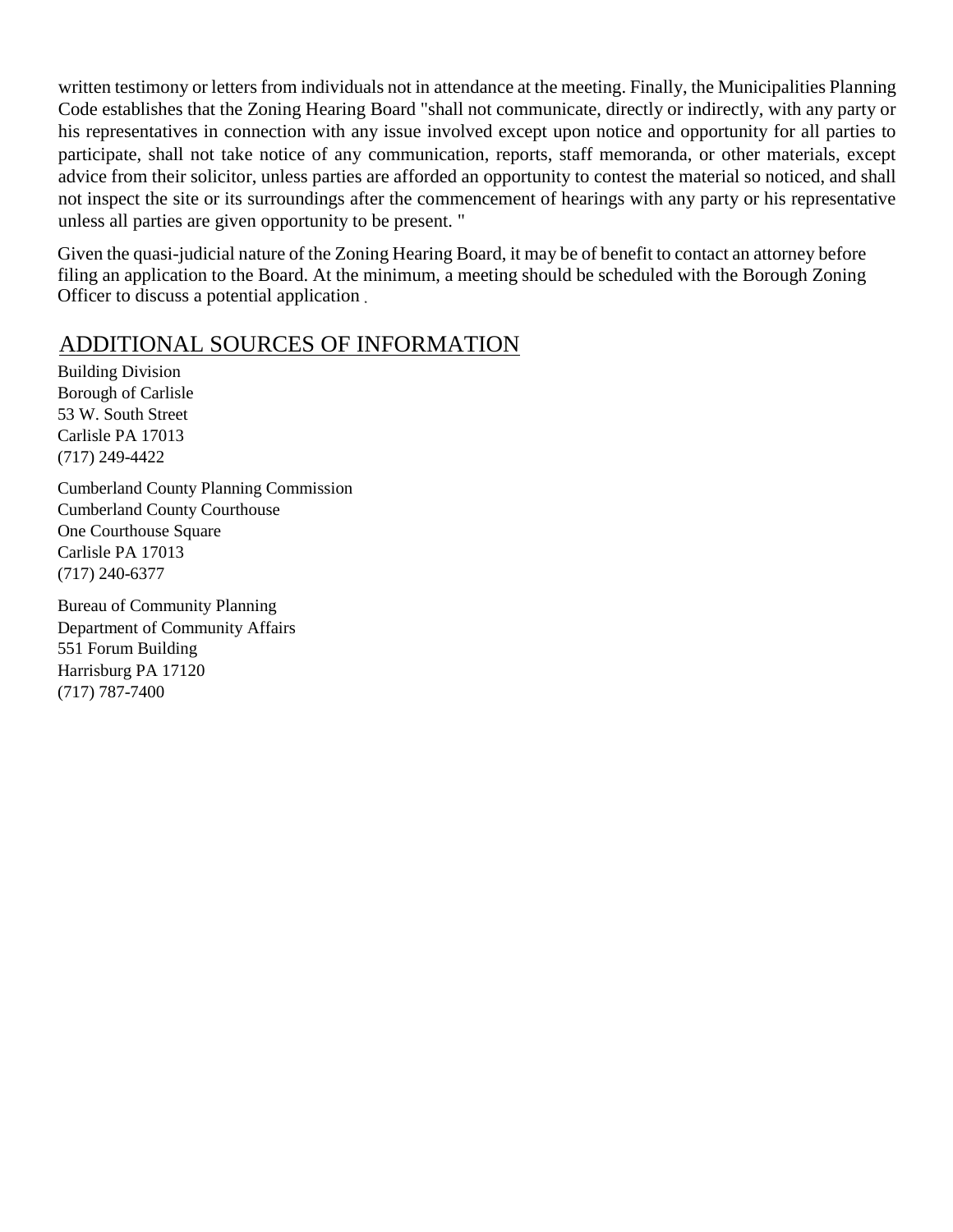written testimony or letters from individuals not in attendance at the meeting. Finally, the Municipalities Planning Code establishes that the Zoning Hearing Board "shall not communicate, directly or indirectly, with any party or his representatives in connection with any issue involved except upon notice and opportunity for all parties to participate, shall not take notice of any communication, reports, staff memoranda, or other materials, except advice from their solicitor, unless parties are afforded an opportunity to contest the material so noticed, and shall not inspect the site or its surroundings after the commencement of hearings with any party or his representative unless all parties are given opportunity to be present. "

Given the quasi-judicial nature of the Zoning Hearing Board, it may be of benefit to contact an attorney before filing an application to the Board. At the minimum, a meeting should be scheduled with the Borough Zoning Officer to discuss a potential application

#### ADDITIONAL SOURCES OF INFORMATION

Building Division Borough of Carlisle 53 W. South Street Carlisle PA 17013 (717) 249-4422

Cumberland County Planning Commission Cumberland County Courthouse One Courthouse Square Carlisle PA 17013 (717) 240-6377

Bureau of Community Planning Department of Community Affairs 551 Forum Building Harrisburg PA 17120 (717) 787-7400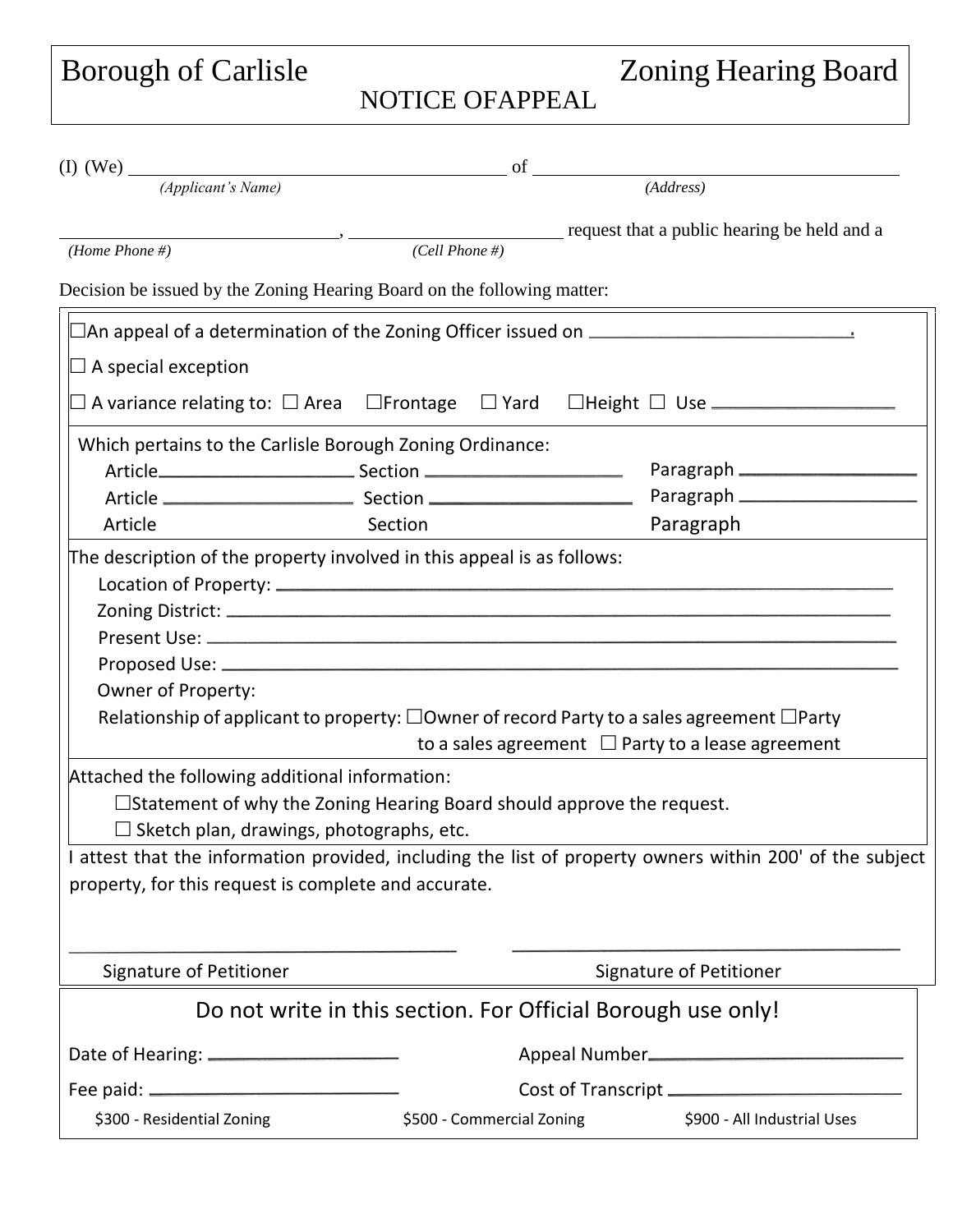Borough of Carlisle

# Zoning Hearing Board

### NOTICE OFAPPEAL

|                                                                                 | of             |                                                                                                                                                                                                  |  |  |  |
|---------------------------------------------------------------------------------|----------------|--------------------------------------------------------------------------------------------------------------------------------------------------------------------------------------------------|--|--|--|
| (I) (We) $\frac{(\text{Application of } N \text{)}\text{Number of } N \text{)}$ |                | $(\overline{Address})$                                                                                                                                                                           |  |  |  |
|                                                                                 |                | request that a public hearing be held and a                                                                                                                                                      |  |  |  |
| (Home Phone $#$ )                                                               | (Cell Phone #) |                                                                                                                                                                                                  |  |  |  |
| Decision be issued by the Zoning Hearing Board on the following matter:         |                |                                                                                                                                                                                                  |  |  |  |
|                                                                                 |                | $\Box$ An appeal of a determination of the Zoning Officer issued on $\Box$                                                                                                                       |  |  |  |
| $\Box$ A special exception                                                      |                |                                                                                                                                                                                                  |  |  |  |
|                                                                                 |                | $\square$ A variance relating to: $\square$ Area $\;\;\square$ Frontage $\;\;\square$ Yard $\;\;\square$ Height $\square$ Use $\_\_\_\_\_\_\_\_\_\_\_\_\_\_\_\_\_\_\_\_\_\_\_\_\_\_\_\_\_\_\_\_$ |  |  |  |
| Which pertains to the Carlisle Borough Zoning Ordinance:                        |                |                                                                                                                                                                                                  |  |  |  |
|                                                                                 |                |                                                                                                                                                                                                  |  |  |  |
|                                                                                 |                |                                                                                                                                                                                                  |  |  |  |
| Article                                                                         | Section        | Paragraph                                                                                                                                                                                        |  |  |  |
| The description of the property involved in this appeal is as follows:          |                |                                                                                                                                                                                                  |  |  |  |
|                                                                                 |                |                                                                                                                                                                                                  |  |  |  |
|                                                                                 |                |                                                                                                                                                                                                  |  |  |  |
|                                                                                 |                |                                                                                                                                                                                                  |  |  |  |
|                                                                                 |                |                                                                                                                                                                                                  |  |  |  |
| Owner of Property:                                                              |                |                                                                                                                                                                                                  |  |  |  |
|                                                                                 |                | Relationship of applicant to property: $\Box$ Owner of record Party to a sales agreement $\Box$ Party                                                                                            |  |  |  |
|                                                                                 |                | to a sales agreement $\Box$ Party to a lease agreement                                                                                                                                           |  |  |  |
| Attached the following additional information:                                  |                |                                                                                                                                                                                                  |  |  |  |
| $\Box$ Statement of why the Zoning Hearing Board should approve the request.    |                |                                                                                                                                                                                                  |  |  |  |
| $\Box$ Sketch plan, drawings, photographs, etc.                                 |                |                                                                                                                                                                                                  |  |  |  |
|                                                                                 |                | I attest that the information provided, including the list of property owners within 200' of the subject                                                                                         |  |  |  |
| property, for this request is complete and accurate.                            |                |                                                                                                                                                                                                  |  |  |  |
|                                                                                 |                |                                                                                                                                                                                                  |  |  |  |
|                                                                                 |                |                                                                                                                                                                                                  |  |  |  |
| Signature of Petitioner                                                         |                | Signature of Petitioner                                                                                                                                                                          |  |  |  |
|                                                                                 |                | Do not write in this section. For Official Borough use only!                                                                                                                                     |  |  |  |
|                                                                                 |                |                                                                                                                                                                                                  |  |  |  |
|                                                                                 |                |                                                                                                                                                                                                  |  |  |  |
| \$300 - Residential Zoning                                                      |                | \$500 - Commercial Zoning \$900 - All Industrial Uses                                                                                                                                            |  |  |  |
|                                                                                 |                |                                                                                                                                                                                                  |  |  |  |